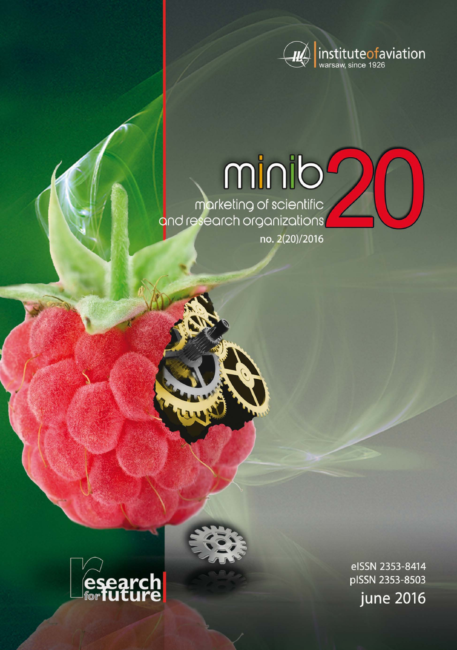

minib marketing of scientific<br>and research organizations

no. 2(20)/2016



eISSN 2353-8414 pISSN 2353-8503 june 2016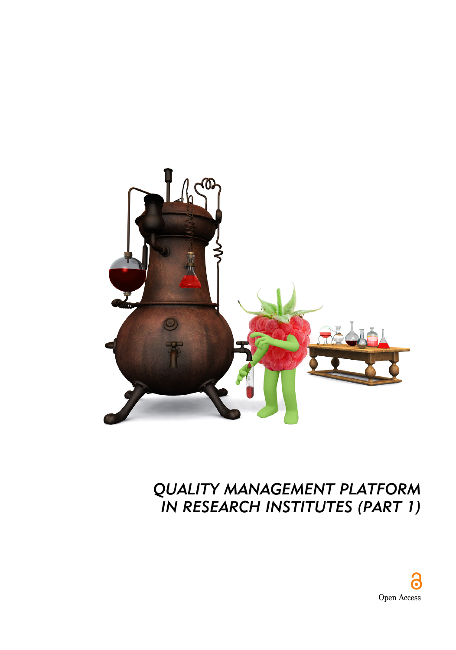

# *QUALITY MANAGEMENT PLATFORM IN RESEARCH INSTITUTES (PART 1)*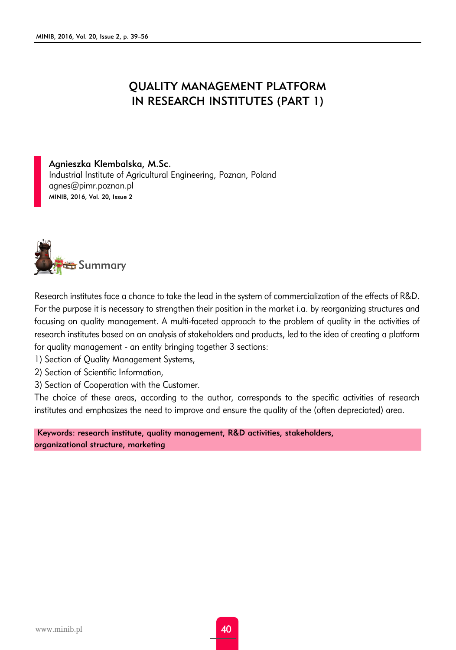## QUALITY MANAGEMENT PLATFORM IN RESEARCH INSTITUTES (PART 1)

Agnieszka Klembalska, M.Sc. Industrial Institute of Agricultural Engineering, Poznan, Poland agnes@pimr.poznan.pl MINIB, 2016, Vol. 20, Issue 2



Research institutes face a chance to take the lead in the system of commercialization of the effects of R&D. For the purpose it is necessary to strengthen their position in the market i.a. by reorganizing structures and focusing on quality management. A multi-faceted approach to the problem of quality in the activities of research institutes based on an analysis of stakeholders and products, led to the idea of creating a platform for quality management - an entity bringing together 3 sections:

- 1) Section of Quality Management Systems,
- 2) Section of Scientific Information,
- 3) Section of Cooperation with the Customer.

The choice of these areas, according to the author, corresponds to the specific activities of research institutes and emphasizes the need to improve and ensure the quality of the (often depreciated) area.

Keywords: research institute, quality management, R&D activities, stakeholders, organizational structure, marketing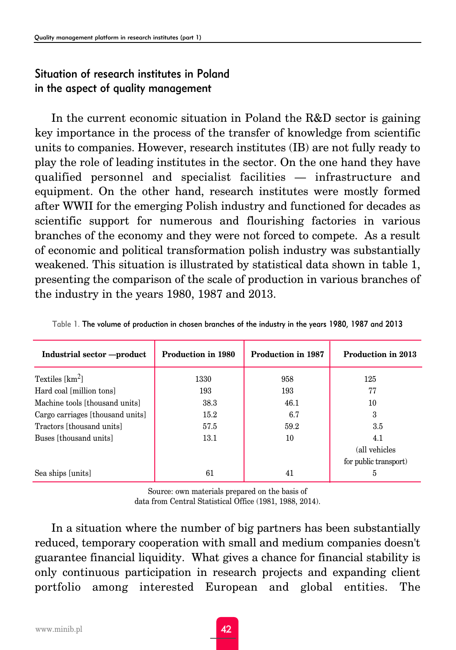## Situation of research institutes in Poland in the aspect of quality management

In the current economic situation in Poland the R&D sector is gaining key importance in the process of the transfer of knowledge from scientific units to companies. However, research institutes (IB) are not fully ready to play the role of leading institutes in the sector. On the one hand they have qualified personnel and specialist facilities — infrastructure and equipment. On the other hand, research institutes were mostly formed after WWII for the emerging Polish industry and functioned for decades as scientific support for numerous and flourishing factories in various branches of the economy and they were not forced to compete. As a result of economic and political transformation polish industry was substantially weakened. This situation is illustrated by statistical data shown in table 1, presenting the comparison of the scale of production in various branches of the industry in the years 1980, 1987 and 2013.

| Industrial sector -- product     | <b>Production in 1980</b> | <b>Production in 1987</b> | <b>Production in 2013</b> |
|----------------------------------|---------------------------|---------------------------|---------------------------|
| Textiles $[km^2]$                | 1330                      | 958                       | 125                       |
| Hard coal [million tons]         | 193                       | 193                       | 77                        |
| Machine tools [thousand units]   | 38.3                      | 46.1                      | 10                        |
| Cargo carriages [thousand units] | 15.2                      | 6.7                       | 3                         |
| Tractors [thousand units]        | 57.5                      | 59.2                      | 3.5                       |
| Buses [thousand units]           | 13.1                      | 10                        | 4.1                       |
|                                  |                           |                           | (all vehicles             |
|                                  |                           |                           | for public transport)     |
| Sea ships [units]                | 61                        | 41                        | 5                         |

| Table 1. The volume of production in chosen branches of the industry in the years 1980, 1987 and 2013 |  |  |  |
|-------------------------------------------------------------------------------------------------------|--|--|--|
|                                                                                                       |  |  |  |

Source: own materials prepared on the basis of data from Central Statistical Office (1981, 1988, 2014).

In a situation where the number of big partners has been substantially reduced, temporary cooperation with small and medium companies doesn't guarantee financial liquidity. What gives a chance for financial stability is only continuous participation in research projects and expanding client portfolio among interested European and global entities. The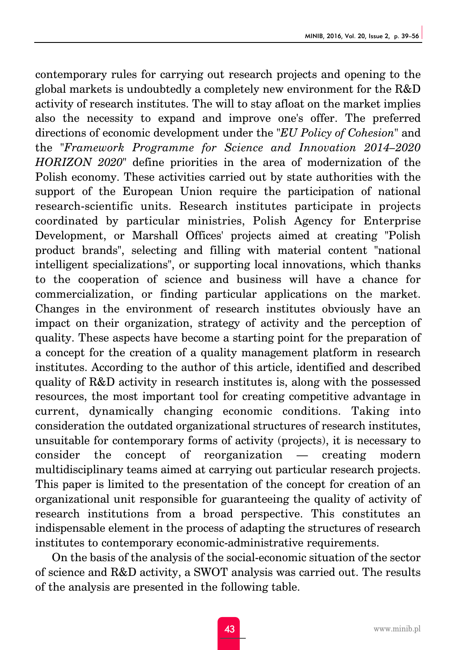contemporary rules for carrying out research projects and opening to the global markets is undoubtedly a completely new environment for the R&D activity of research institutes. The will to stay afloat on the market implies also the necessity to expand and improve one's offer. The preferred directions of economic development under the "*EU Policy of Cohesion*" and the "*Framework Programme for Science and Innovation 2014–2020 HORIZON 2020*" define priorities in the area of modernization of the Polish economy. These activities carried out by state authorities with the support of the European Union require the participation of national research-scientific units. Research institutes participate in projects coordinated by particular ministries, Polish Agency for Enterprise Development, or Marshall Offices' projects aimed at creating "Polish product brands", selecting and filling with material content "national intelligent specializations", or supporting local innovations, which thanks to the cooperation of science and business will have a chance for commercialization, or finding particular applications on the market. Changes in the environment of research institutes obviously have an impact on their organization, strategy of activity and the perception of quality. These aspects have become a starting point for the preparation of a concept for the creation of a quality management platform in research institutes. According to the author of this article, identified and described quality of R&D activity in research institutes is, along with the possessed resources, the most important tool for creating competitive advantage in current, dynamically changing economic conditions. Taking into consideration the outdated organizational structures of research institutes, unsuitable for contemporary forms of activity (projects), it is necessary to consider the concept of reorganization — creating modern multidisciplinary teams aimed at carrying out particular research projects. This paper is limited to the presentation of the concept for creation of an organizational unit responsible for guaranteeing the quality of activity of research institutions from a broad perspective. This constitutes an indispensable element in the process of adapting the structures of research institutes to contemporary economic-administrative requirements.

On the basis of the analysis of the social-economic situation of the sector of science and R&D activity, a SWOT analysis was carried out. The results of the analysis are presented in the following table.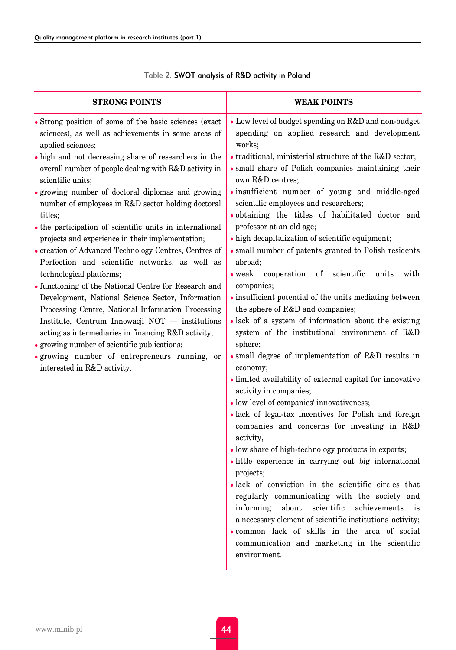| <b>STRONG POINTS</b>                                                                                                                                                                                                                                                                                                                                                                                                                                                                                                                                                                                                                                                                                                                                                                                                                                                                                                                                                                                                                                                 | <b>WEAK POINTS</b>                                                                                                                                                                                                                                                                                                                                                                                                                                                                                                                                                                                                                                                                                                                                                                                                                                                                                                                                                                                                                                                                                                                                                                                                                                                                                                                                                                                                                                                                                                                                                                                                                                                                   |  |  |  |
|----------------------------------------------------------------------------------------------------------------------------------------------------------------------------------------------------------------------------------------------------------------------------------------------------------------------------------------------------------------------------------------------------------------------------------------------------------------------------------------------------------------------------------------------------------------------------------------------------------------------------------------------------------------------------------------------------------------------------------------------------------------------------------------------------------------------------------------------------------------------------------------------------------------------------------------------------------------------------------------------------------------------------------------------------------------------|--------------------------------------------------------------------------------------------------------------------------------------------------------------------------------------------------------------------------------------------------------------------------------------------------------------------------------------------------------------------------------------------------------------------------------------------------------------------------------------------------------------------------------------------------------------------------------------------------------------------------------------------------------------------------------------------------------------------------------------------------------------------------------------------------------------------------------------------------------------------------------------------------------------------------------------------------------------------------------------------------------------------------------------------------------------------------------------------------------------------------------------------------------------------------------------------------------------------------------------------------------------------------------------------------------------------------------------------------------------------------------------------------------------------------------------------------------------------------------------------------------------------------------------------------------------------------------------------------------------------------------------------------------------------------------------|--|--|--|
| • Strong position of some of the basic sciences (exact<br>sciences), as well as achievements in some areas of<br>applied sciences;<br>• high and not decreasing share of researchers in the<br>overall number of people dealing with R&D activity in<br>scientific units;<br>· growing number of doctoral diplomas and growing<br>number of employees in R&D sector holding doctoral<br>titles;<br>• the participation of scientific units in international<br>projects and experience in their implementation;<br>• creation of Advanced Technology Centres, Centres of<br>Perfection and scientific networks, as well as<br>technological platforms;<br>• functioning of the National Centre for Research and<br>Development, National Science Sector, Information<br>Processing Centre, National Information Processing<br>Institute, Centrum Innowacji NOT - institutions<br>acting as intermediaries in financing R&D activity;<br>• growing number of scientific publications;<br>· growing number of entrepreneurs running, or<br>interested in R&D activity. | • Low level of budget spending on R&D and non-budget<br>spending on applied research and development<br>works;<br>$\bullet$ traditional, ministerial structure of the R&D sector;<br>· small share of Polish companies maintaining their<br>own R&D centres;<br>· insufficient number of young and middle-aged<br>scientific employees and researchers;<br>. obtaining the titles of habilitated doctor and<br>professor at an old age;<br>• high decapitalization of scientific equipment;<br>· small number of patents granted to Polish residents<br>abroad:<br>$\bullet$ weak<br>cooperation<br>of<br>scientific<br>units<br>with<br>companies;<br>· insufficient potential of the units mediating between<br>the sphere of R&D and companies;<br>· lack of a system of information about the existing<br>system of the institutional environment of R&D<br>sphere;<br>· small degree of implementation of R&D results in<br>economy;<br>$\bullet$ limited availability of external capital for innovative<br>activity in companies;<br>· low level of companies' innovativeness;<br>· lack of legal-tax incentives for Polish and foreign<br>companies and concerns for investing in R&D<br>activity,<br>· low share of high-technology products in exports;<br>· little experience in carrying out big international<br>projects;<br>· lack of conviction in the scientific circles that<br>regularly communicating with the society and<br>scientific achievements<br>informing<br>about<br>is<br>a necessary element of scientific institutions' activity;<br>. common lack of skills in the area of social<br>communication and marketing in the scientific<br>environment. |  |  |  |

#### Table 2. SWOT analysis of R&D activity in Poland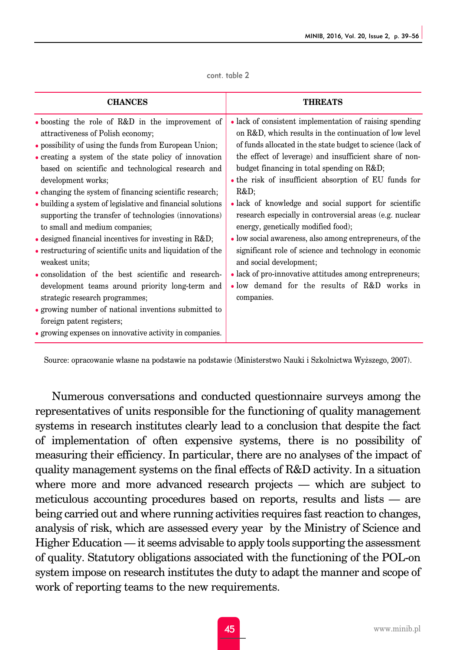| cont. table 2 |  |  |  |
|---------------|--|--|--|
|---------------|--|--|--|

| <b>CHANCES</b>                                                                                                                                                                                                                                                                                                                                                                                                                                                                                                                                                                                                                                                                                                                                                                                                                                                                                                                               | <b>THREATS</b>                                                                                                                                                                                                                                                                                                                                                                                                                                                                                                                                                                                                                                                                                                                                                                               |
|----------------------------------------------------------------------------------------------------------------------------------------------------------------------------------------------------------------------------------------------------------------------------------------------------------------------------------------------------------------------------------------------------------------------------------------------------------------------------------------------------------------------------------------------------------------------------------------------------------------------------------------------------------------------------------------------------------------------------------------------------------------------------------------------------------------------------------------------------------------------------------------------------------------------------------------------|----------------------------------------------------------------------------------------------------------------------------------------------------------------------------------------------------------------------------------------------------------------------------------------------------------------------------------------------------------------------------------------------------------------------------------------------------------------------------------------------------------------------------------------------------------------------------------------------------------------------------------------------------------------------------------------------------------------------------------------------------------------------------------------------|
| • boosting the role of R&D in the improvement of<br>attractiveness of Polish economy;<br>• possibility of using the funds from European Union;<br>• creating a system of the state policy of innovation<br>based on scientific and technological research and<br>development works;<br>• changing the system of financing scientific research;<br>• building a system of legislative and financial solutions<br>supporting the transfer of technologies (innovations)<br>to small and medium companies;<br>• designed financial incentives for investing in R&D<br>• restructuring of scientific units and liquidation of the<br>weakest units:<br>• consolidation of the best scientific and research-<br>development teams around priority long-term and<br>strategic research programmes;<br>• growing number of national inventions submitted to<br>foreign patent registers;<br>• growing expenses on innovative activity in companies. | • lack of consistent implementation of raising spending<br>on R&D, which results in the continuation of low level<br>of funds allocated in the state budget to science (lack of<br>the effect of leverage) and insufficient share of non-<br>budget financing in total spending on R&D<br>• the risk of insufficient absorption of EU funds for<br>R&D<br>• lack of knowledge and social support for scientific<br>research especially in controversial areas (e.g. nuclear<br>energy, genetically modified food);<br>• low social awareness, also among entrepreneurs, of the<br>significant role of science and technology in economic<br>and social development;<br>• lack of pro-innovative attitudes among entrepreneurs;<br>. low demand for the results of R&D works in<br>companies. |

Source: opracowanie własne na podstawie na podstawie (Ministerstwo Nauki i Szkolnictwa Wyższego, 2007).

Numerous conversations and conducted questionnaire surveys among the representatives of units responsible for the functioning of quality management systems in research institutes clearly lead to a conclusion that despite the fact of implementation of often expensive systems, there is no possibility of measuring their efficiency. In particular, there are no analyses of the impact of quality management systems on the final effects of R&D activity. In a situation where more and more advanced research projects — which are subject to meticulous accounting procedures based on reports, results and lists — are being carried out and where running activities requires fast reaction to changes, analysis of risk, which are assessed every year by the Ministry of Science and Higher Education — it seems advisable to apply tools supporting the assessment of quality. Statutory obligations associated with the functioning of the POL-on system impose on research institutes the duty to adapt the manner and scope of work of reporting teams to the new requirements.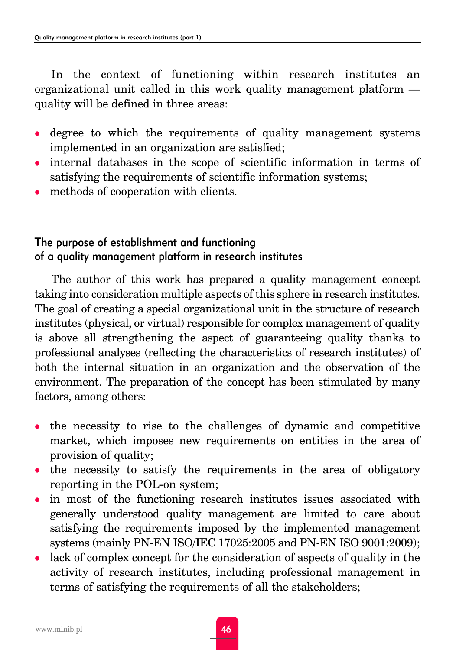In the context of functioning within research institutes an organizational unit called in this work quality management platform quality will be defined in three areas:

- degree to which the requirements of quality management systems implemented in an organization are satisfied;
- <sup>z</sup> internal databases in the scope of scientific information in terms of satisfying the requirements of scientific information systems;
- methods of cooperation with clients.

## The purpose of establishment and functioning of a quality management platform in research institutes

The author of this work has prepared a quality management concept taking into consideration multiple aspects of this sphere in research institutes. The goal of creating a special organizational unit in the structure of research institutes (physical, or virtual) responsible for complex management of quality is above all strengthening the aspect of guaranteeing quality thanks to professional analyses (reflecting the characteristics of research institutes) of both the internal situation in an organization and the observation of the environment. The preparation of the concept has been stimulated by many factors, among others:

- the necessity to rise to the challenges of dynamic and competitive market, which imposes new requirements on entities in the area of provision of quality;
- the necessity to satisfy the requirements in the area of obligatory reporting in the POL-on system;
- in most of the functioning research institutes issues associated with generally understood quality management are limited to care about satisfying the requirements imposed by the implemented management systems (mainly PN-EN ISO/IEC 17025:2005 and PN-EN ISO 9001:2009);
- $\bullet$  lack of complex concept for the consideration of aspects of quality in the activity of research institutes, including professional management in terms of satisfying the requirements of all the stakeholders;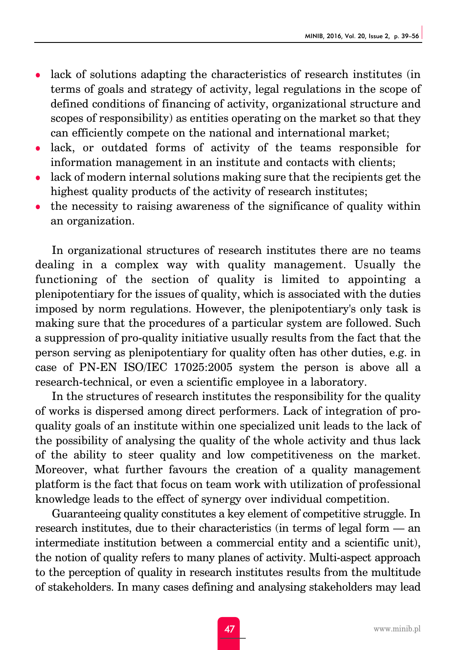- lack of solutions adapting the characteristics of research institutes (in terms of goals and strategy of activity, legal regulations in the scope of defined conditions of financing of activity, organizational structure and scopes of responsibility) as entities operating on the market so that they can efficiently compete on the national and international market;
- lack, or outdated forms of activity of the teams responsible for information management in an institute and contacts with clients;
- lack of modern internal solutions making sure that the recipients get the highest quality products of the activity of research institutes;
- $\bullet$  the necessity to raising awareness of the significance of quality within an organization.

In organizational structures of research institutes there are no teams dealing in a complex way with quality management. Usually the functioning of the section of quality is limited to appointing a plenipotentiary for the issues of quality, which is associated with the duties imposed by norm regulations. However, the plenipotentiary's only task is making sure that the procedures of a particular system are followed. Such a suppression of pro-quality initiative usually results from the fact that the person serving as plenipotentiary for quality often has other duties, e.g. in case of PN-EN ISO/IEC 17025:2005 system the person is above all a research-technical, or even a scientific employee in a laboratory.

In the structures of research institutes the responsibility for the quality of works is dispersed among direct performers. Lack of integration of proquality goals of an institute within one specialized unit leads to the lack of the possibility of analysing the quality of the whole activity and thus lack of the ability to steer quality and low competitiveness on the market. Moreover, what further favours the creation of a quality management platform is the fact that focus on team work with utilization of professional knowledge leads to the effect of synergy over individual competition.

Guaranteeing quality constitutes a key element of competitive struggle. In research institutes, due to their characteristics (in terms of legal form — an intermediate institution between a commercial entity and a scientific unit), the notion of quality refers to many planes of activity. Multi-aspect approach to the perception of quality in research institutes results from the multitude of stakeholders. In many cases defining and analysing stakeholders may lead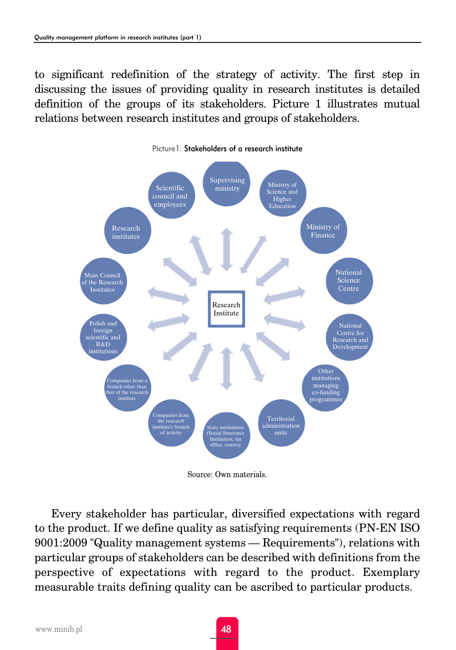to significant redefinition of the strategy of activity. The first step in discussing the issues of providing quality in research institutes is detailed definition of the groups of its stakeholders. Picture 1 illustrates mutual relations between research institutes and groups of stakeholders.



Source: Own materials.

Every stakeholder has particular, diversified expectations with regard to the product. If we define quality as satisfying requirements (PN-EN ISO 9001:2009 "Quality management systems — Requirements"), relations with particular groups of stakeholders can be described with definitions from the perspective of expectations with regard to the product. Exemplary measurable traits defining quality can be ascribed to particular products.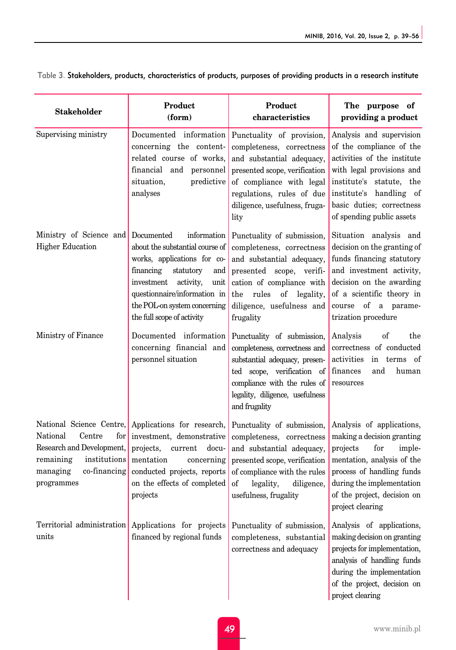| <b>Stakeholder</b>                                                                                                                                        | Product<br>(form)                                                                                                                                                                                                                                             | Product<br>characteristics                                                                                                                                                                                                 | The purpose of<br>providing a product                                                                                                                                                                                             |
|-----------------------------------------------------------------------------------------------------------------------------------------------------------|---------------------------------------------------------------------------------------------------------------------------------------------------------------------------------------------------------------------------------------------------------------|----------------------------------------------------------------------------------------------------------------------------------------------------------------------------------------------------------------------------|-----------------------------------------------------------------------------------------------------------------------------------------------------------------------------------------------------------------------------------|
| Supervising ministry                                                                                                                                      | Documented information<br>concerning the content-<br>related course of works,<br>financial and personnel<br>situation,<br>predictive<br>analyses                                                                                                              | Punctuality of provision,<br>completeness, correctness<br>and substantial adequacy,<br>presented scope, verification<br>of compliance with legal<br>regulations, rules of due<br>diligence, usefulness, fruga-<br>lity     | Analysis and supervision<br>of the compliance of the<br>activities of the institute<br>with legal provisions and<br>institute's statute, the<br>institute's handling of<br>basic duties; correctness<br>of spending public assets |
| Ministry of Science and<br><b>Higher Education</b>                                                                                                        | Documented<br>information<br>about the substantial course of<br>works, applications for co-<br>financing<br>statutory<br>and<br>investment<br>activity,<br>unit<br>questionnaire/information in<br>the POL-on system concerning<br>the full scope of activity | Punctuality of submission,<br>completeness, correctness<br>and substantial adequacy,<br>presented scope, verifi-<br>cation of compliance with<br>the<br>rules<br>of<br>legality,<br>diligence, usefulness and<br>frugality | Situation analysis and<br>decision on the granting of<br>funds financing statutory<br>and investment activity,<br>decision on the awarding<br>of a scientific theory in<br>course of a parame-<br>trization procedure             |
| Ministry of Finance                                                                                                                                       | Documented information<br>concerning financial and<br>personnel situation                                                                                                                                                                                     | Punctuality of submission,<br>completeness, correctness and<br>substantial adequacy, presen-<br>ted scope, verification of<br>compliance with the rules of<br>legality, diligence, usefulness<br>and frugality             | of<br>Analysis<br>the<br>correctness of conducted<br>activities<br>in terms of<br>finances<br>and<br>human<br>resources                                                                                                           |
| National Science Centre,<br>National<br>Centre<br>for<br>Research and Development,<br>remaining<br>institutions<br>managing<br>co-financing<br>programmes | Applications for research,<br>investment, demonstrative<br>projects,<br>current<br>docu-<br>mentation<br>concerning<br>conducted projects, reports<br>on the effects of completed<br>projects                                                                 | Punctuality of submission,<br>completeness, correctness<br>and substantial adequacy,<br>presented scope, verification<br>of compliance with the rules<br>of<br>legality,<br>diligence,<br>usefulness, frugality            | Analysis of applications,<br>making a decision granting<br>projects<br>imple-<br>for<br>mentation, analysis of the<br>process of handling funds<br>during the implementation<br>of the project, decision on<br>project clearing   |
| Territorial administration<br>units                                                                                                                       | Applications for projects<br>financed by regional funds                                                                                                                                                                                                       | Punctuality of submission,<br>completeness, substantial<br>correctness and adequacy                                                                                                                                        | Analysis of applications,<br>making decision on granting<br>projects for implementation,<br>analysis of handling funds<br>during the implementation<br>of the project, decision on<br>project clearing                            |

Table 3. Stakeholders, products, characteristics of products, purposes of providing products in a research institute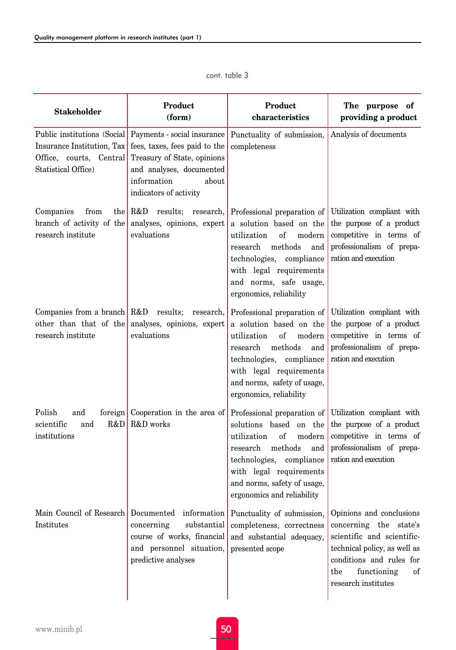| <b>Stakeholder</b>                                                           | Product<br>(form)                                                                                                                                                                                       | Product<br>characteristics                                                                                                                                                                                                                   | The purpose of<br>providing a product                                                                                                                                                           |  |
|------------------------------------------------------------------------------|---------------------------------------------------------------------------------------------------------------------------------------------------------------------------------------------------------|----------------------------------------------------------------------------------------------------------------------------------------------------------------------------------------------------------------------------------------------|-------------------------------------------------------------------------------------------------------------------------------------------------------------------------------------------------|--|
| Insurance Institution, Tax<br>Office, courts, Central<br>Statistical Office) | Public institutions (Social   Payments - social insurance<br>fees, taxes, fees paid to the<br>Treasury of State, opinions<br>and analyses, documented<br>information<br>about<br>indicators of activity | Punctuality of submission,<br>completeness                                                                                                                                                                                                   | Analysis of documents                                                                                                                                                                           |  |
| Companies<br>from<br>branch of activity of the<br>research institute         | the R&D results; research,<br>analyses, opinions, expert<br>evaluations                                                                                                                                 | Professional preparation of<br>a solution based on the<br>utilization<br>of<br>modern<br>methods<br>research<br>and<br>technologies,<br>compliance<br>with legal requirements<br>and norms, safe usage,<br>ergonomics, reliability           | Utilization compliant with<br>the purpose of a product<br>competitive in terms of<br>professionalism of prepa-<br>ration and execution                                                          |  |
| Companies from a branch R&D results;<br>research institute                   | research,<br>other than that of the analyses, opinions, expert<br>evaluations                                                                                                                           | Professional preparation of<br>a solution based on the<br>$\sigma$ f<br>utilization<br>modern<br>methods<br>research<br>and<br>technologies, compliance<br>with legal requirements<br>and norms, safety of usage,<br>ergonomics, reliability | Utilization compliant with<br>the purpose of a product<br>competitive in terms of<br>professionalism of prepa-<br>ration and execution                                                          |  |
| Polish<br>and<br>scientific<br>and<br>R&D<br>institutions                    | foreign Cooperation in the area of<br>R&D works                                                                                                                                                         | Professional preparation of<br>solutions based on the<br>utilization<br>modern<br>of<br>research<br>methods<br>and<br>technologies, compliance<br>with legal requirements<br>and norms, safety of usage,<br>ergonomics and reliability       | Utilization compliant with<br>the purpose of a product<br>competitive in terms of<br>professionalism of prepa-<br>ration and execution                                                          |  |
| Institutes                                                                   | Main Council of Research Documented information<br>concerning<br>substantial<br>course of works, financial<br>and personnel situation,<br>predictive analyses                                           | Punctuality of submission,<br>completeness, correctness<br>and substantial adequacy,<br>presented scope                                                                                                                                      | Opinions and conclusions<br>concerning the state's<br>scientific and scientific-<br>technical policy, as well as<br>conditions and rules for<br>of<br>the<br>functioning<br>research institutes |  |

#### cont. table 3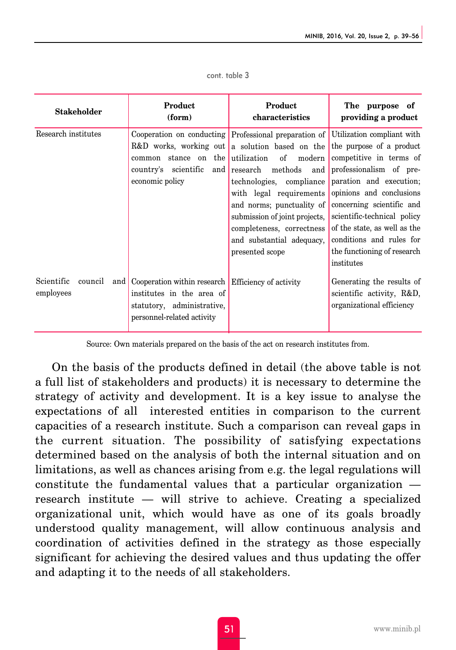| Product<br><b>Stakeholder</b><br>(form)     |                                                                                                                                             | Product<br>characteristics                                                                                                                                                                                                                                                                                                                                                 | The purpose of<br>providing a product                                                                                                                                                                                                                                                                                                    |
|---------------------------------------------|---------------------------------------------------------------------------------------------------------------------------------------------|----------------------------------------------------------------------------------------------------------------------------------------------------------------------------------------------------------------------------------------------------------------------------------------------------------------------------------------------------------------------------|------------------------------------------------------------------------------------------------------------------------------------------------------------------------------------------------------------------------------------------------------------------------------------------------------------------------------------------|
| Research institutes                         | stance on the utilization<br>common<br>economic policy                                                                                      | Cooperation on conducting Professional preparation of<br>R&D works, working out a solution based on the<br>of<br>modern<br>country's scientific and research methods and<br>technologies, compliance<br>with legal requirements<br>and norms; punctuality of<br>submission of joint projects,<br>completeness, correctness<br>and substantial adequacy,<br>presented scope | Utilization compliant with<br>the purpose of a product<br>competitive in terms of<br>professionalism of pre-<br>paration and execution;<br>opinions and conclusions<br>concerning scientific and<br>scientific-technical policy<br>of the state, as well as the<br>conditions and rules for<br>the functioning of research<br>institutes |
| Scientific<br>council<br>and  <br>employees | Cooperation within research Efficiency of activity<br>institutes in the area of<br>statutory, administrative,<br>personnel-related activity |                                                                                                                                                                                                                                                                                                                                                                            | Generating the results of<br>scientific activity, R&D,<br>organizational efficiency                                                                                                                                                                                                                                                      |

| cont. table 3 |  |  |  |  |
|---------------|--|--|--|--|
|---------------|--|--|--|--|

Source: Own materials prepared on the basis of the act on research institutes from.

On the basis of the products defined in detail (the above table is not a full list of stakeholders and products) it is necessary to determine the strategy of activity and development. It is a key issue to analyse the expectations of all interested entities in comparison to the current capacities of a research institute. Such a comparison can reveal gaps in the current situation. The possibility of satisfying expectations determined based on the analysis of both the internal situation and on limitations, as well as chances arising from e.g. the legal regulations will constitute the fundamental values that a particular organization research institute — will strive to achieve. Creating a specialized organizational unit, which would have as one of its goals broadly understood quality management, will allow continuous analysis and coordination of activities defined in the strategy as those especially significant for achieving the desired values and thus updating the offer and adapting it to the needs of all stakeholders.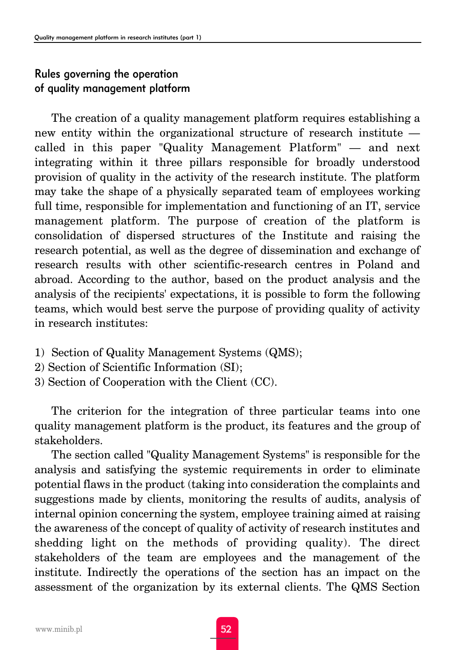## Rules governing the operation of quality management platform

The creation of a quality management platform requires establishing a new entity within the organizational structure of research institute called in this paper "Quality Management Platform" — and next integrating within it three pillars responsible for broadly understood provision of quality in the activity of the research institute. The platform may take the shape of a physically separated team of employees working full time, responsible for implementation and functioning of an IT, service management platform. The purpose of creation of the platform is consolidation of dispersed structures of the Institute and raising the research potential, as well as the degree of dissemination and exchange of research results with other scientific-research centres in Poland and abroad. According to the author, based on the product analysis and the analysis of the recipients' expectations, it is possible to form the following teams, which would best serve the purpose of providing quality of activity in research institutes:

- 1) Section of Quality Management Systems (QMS);
- 2) Section of Scientific Information (SI);
- 3) Section of Cooperation with the Client (CC).

The criterion for the integration of three particular teams into one quality management platform is the product, its features and the group of stakeholders.

The section called "Quality Management Systems" is responsible for the analysis and satisfying the systemic requirements in order to eliminate potential flaws in the product (taking into consideration the complaints and suggestions made by clients, monitoring the results of audits, analysis of internal opinion concerning the system, employee training aimed at raising the awareness of the concept of quality of activity of research institutes and shedding light on the methods of providing quality). The direct stakeholders of the team are employees and the management of the institute. Indirectly the operations of the section has an impact on the assessment of the organization by its external clients. The QMS Section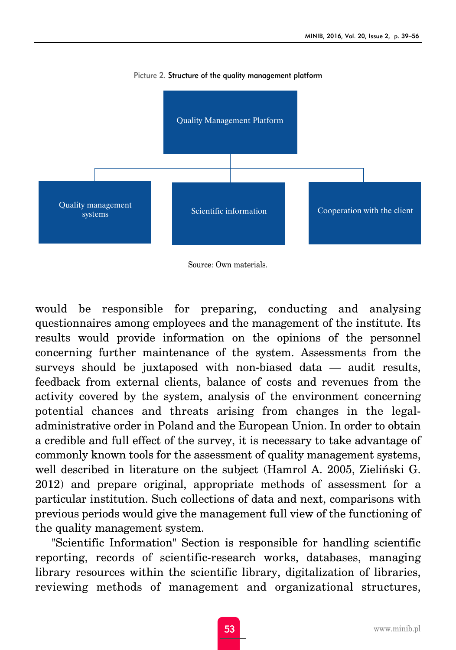

Picture 2. Structure of the quality management platform

Source: Own materials.

would be responsible for preparing, conducting and analysing questionnaires among employees and the management of the institute. Its results would provide information on the opinions of the personnel concerning further maintenance of the system. Assessments from the surveys should be juxtaposed with non-biased data — audit results, feedback from external clients, balance of costs and revenues from the activity covered by the system, analysis of the environment concerning potential chances and threats arising from changes in the legaladministrative order in Poland and the European Union. In order to obtain a credible and full effect of the survey, it is necessary to take advantage of commonly known tools for the assessment of quality management systems, well described in literature on the subject (Hamrol A. 2005, Zieliński G. 2012) and prepare original, appropriate methods of assessment for a particular institution. Such collections of data and next, comparisons with previous periods would give the management full view of the functioning of the quality management system.

"Scientific Information" Section is responsible for handling scientific reporting, records of scientific-research works, databases, managing library resources within the scientific library, digitalization of libraries, reviewing methods of management and organizational structures,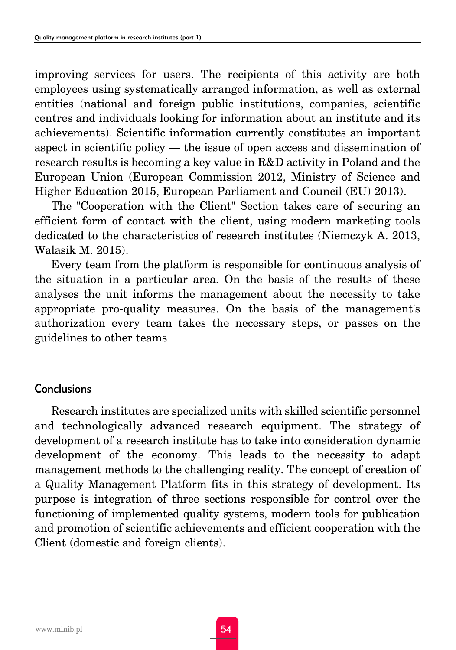improving services for users. The recipients of this activity are both employees using systematically arranged information, as well as external entities (national and foreign public institutions, companies, scientific centres and individuals looking for information about an institute and its achievements). Scientific information currently constitutes an important aspect in scientific policy — the issue of open access and dissemination of research results is becoming a key value in R&D activity in Poland and the European Union (European Commission 2012, Ministry of Science and Higher Education 2015, European Parliament and Council (EU) 2013).

The "Cooperation with the Client" Section takes care of securing an efficient form of contact with the client, using modern marketing tools dedicated to the characteristics of research institutes (Niemczyk A. 2013, Walasik M. 2015).

Every team from the platform is responsible for continuous analysis of the situation in a particular area. On the basis of the results of these analyses the unit informs the management about the necessity to take appropriate pro-quality measures. On the basis of the management's authorization every team takes the necessary steps, or passes on the guidelines to other teams

## **Conclusions**

Research institutes are specialized units with skilled scientific personnel and technologically advanced research equipment. The strategy of development of a research institute has to take into consideration dynamic development of the economy. This leads to the necessity to adapt management methods to the challenging reality. The concept of creation of a Quality Management Platform fits in this strategy of development. Its purpose is integration of three sections responsible for control over the functioning of implemented quality systems, modern tools for publication and promotion of scientific achievements and efficient cooperation with the Client (domestic and foreign clients).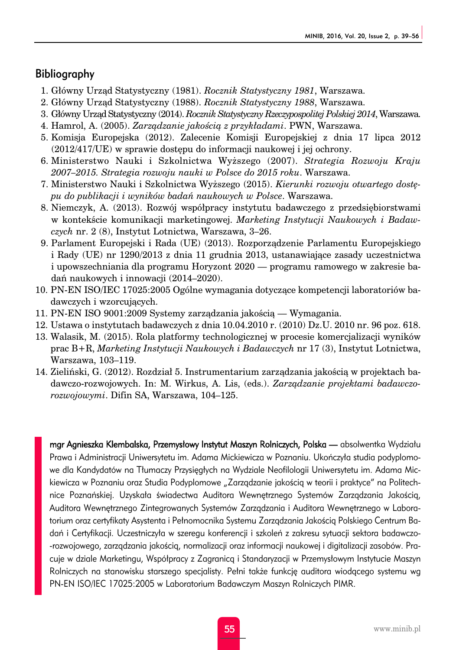### Bibliography

- 1. Główny Urząd Statystyczny (1981). *Rocznik Statystyczny 1981*, Warszawa.
- 2. Główny Urząd Statystyczny (1988). *Rocznik Statystyczny 1988*, Warszawa.
- 3. Główny Urząd Statystyczny (2014). *Rocznik Statystyczny Rzeczypospolitej Polskiej 2014*, Warszawa.
- 4. Hamrol, A. (2005). *Zarządzanie jakością z przykładami*. PWN, Warszawa.
- 5. Komisja Europejska (2012). Zalecenie Komisji Europejskiej z dnia 17 lipca 2012 (2012/417/UE) w sprawie dostępu do informacji naukowej i jej ochrony.
- 6. Ministerstwo Nauki i Szkolnictwa Wyższego (2007). *Strategia Rozwoju Kraju 2007–2015. Strategia rozwoju nauki w Polsce do 2015 roku*. Warszawa.
- 7. Ministerstwo Nauki i Szkolnictwa Wyższego (2015). *Kierunki rozwoju otwartego dostępu do publikacji i wyników badań naukowych w Polsce*. Warszawa.
- 8. Niemczyk, A. (2013). Rozwój współpracy instytutu badawczego z przedsiębiorstwami w kontekście komunikacji marketingowej. *Marketing Instytucji Naukowych i Badawczych* nr. 2 (8), Instytut Lotnictwa, Warszawa, 3–26.
- 9. Parlament Europejski i Rada (UE) (2013). Rozporządzenie Parlamentu Europejskiego i Rady (UE) nr 1290/2013 z dnia 11 grudnia 2013, ustanawiające zasady uczestnictwa i upowszechniania dla programu Horyzont 2020 — programu ramowego w zakresie badań naukowych i innowacji (2014–2020).
- 10. PN-EN ISO/IEC 17025:2005 Ogólne wymagania dotyczące kompetencji laboratoriów badawczych i wzorcujących.
- 11. PN-EN ISO 9001:2009 Systemy zarządzania jakością Wymagania.
- 12. Ustawa o instytutach badawczych z dnia 10.04.2010 r. (2010) Dz.U. 2010 nr. 96 poz. 618.
- 13. Walasik, M. (2015). Rola platformy technologicznej w procesie komercjalizacji wyników prac B+R, *Marketing Instytucji Naukowych i Badawczych* nr 17 (3), Instytut Lotnictwa, Warszawa, 103–119.
- 14. Zieliński, G. (2012). Rozdział 5. Instrumentarium zarządzania jakością w projektach badawczo-rozwojowych. In: M. Wirkus, A. Lis, (eds.). *Zarządzanie projektami badawczorozwojowymi*. Difin SA, Warszawa, 104–125.

mgr Agnieszka Klembalska, Przemysłowy Instytut Maszyn Rolniczych, Polska — absolwentka Wydziału Prawa i Administracji Uniwersytetu im. Adama Mickiewicza w Poznaniu. Ukończyła studia podyplomowe dla Kandydatów na Tłumaczy Przysięgłych na Wydziale Neofilologii Uniwersytetu im. Adama Mickiewicza w Poznaniu oraz Studia Podyplomowe "Zarządzanie jakością w teorii i praktyce" na Politechnice Poznańskiej. Uzyskała świadectwa Auditora Wewnętrznego Systemów Zarządzania Jakością, Auditora Wewnętrznego Zintegrowanych Systemów Zarządzania i Auditora Wewnętrznego w Laboratorium oraz certyfikaty Asystenta i Pełnomocnika Systemu Zarządzania Jakością Polskiego Centrum Badań i Certyfikacji. Uczestniczyła w szeregu konferencji i szkoleń z zakresu sytuacji sektora badawczo- -rozwojowego, zarządzania jakością, normalizacji oraz informacji naukowej i digitalizacji zasobów. Pracuje w dziale Marketingu, Współpracy z Zagranicą i Standaryzacji w Przemysłowym Instytucie Maszyn Rolniczych na stanowisku starszego specjalisty. Pełni także funkcję auditora wiodącego systemu wg PN-EN ISO/IEC 17025:2005 w Laboratorium Badawczym Maszyn Rolniczych PIMR.